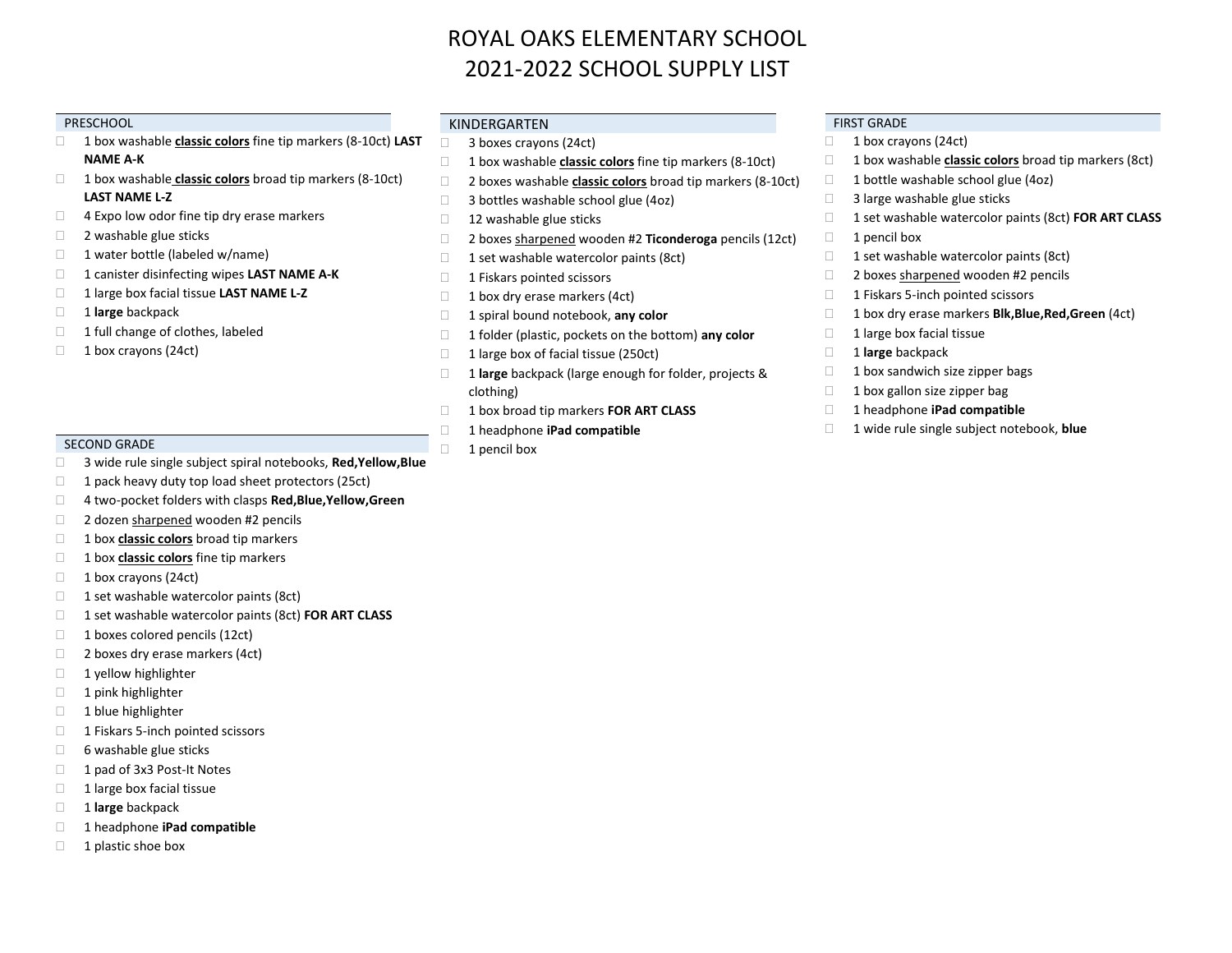# ROYAL OAKS ELEMENTARY SCHOOL 2021-2022 SCHOOL SUPPLY LIST

#### PRESCHOOL

- 1 box washable **classic colors** fine tip markers (8-10ct) **LAST NAME A-K**
- 1 box washable **classic colors** broad tip markers (8-10ct) **LAST NAME L-Z**
- $\Box$  4 Expo low odor fine tip dry erase markers
- $\Box$  2 washable glue sticks
- $\Box$  1 water bottle (labeled w/name)
- 1 canister disinfecting wipes **LAST NAME A-K**
- 1 large box facial tissue **LAST NAME L-Z**
- 1 **large** backpack
- $\Box$  1 full change of clothes, labeled
- $\Box$  1 box crayons (24ct)

## KINDERGARTEN

- 3 boxes crayons (24ct)
- 1 box washable **classic colors** fine tip markers (8-10ct)
- 2 boxes washable **classic colors** broad tip markers (8-10ct)
- $\Box$  3 bottles washable school glue (4oz)
- 12 washable glue sticks
- 2 boxes sharpened wooden #2 **Ticonderoga** pencils (12ct)
- $\Box$  1 set washable watercolor paints (8ct)
- 1 Fiskars pointed scissors
- $\Box$  1 box dry erase markers (4ct)
- 1 spiral bound notebook, **any color**
- 1 folder (plastic, pockets on the bottom) **any color**
- $\Box$  1 large box of facial tissue (250ct)
- □ 1 **large** backpack (large enough for folder, projects & clothing)
- 1 box broad tip markers **FOR ART CLASS**
- 1 headphone **iPad compatible**
- $\Box$  1 pencil box

## FIRST GRADE

- $\Box$  1 box crayons (24ct)
- 1 box washable **classic colors** broad tip markers (8ct)
- $\Box$  1 bottle washable school glue (4oz)
- $\Box$  3 large washable glue sticks
- 1 set washable watercolor paints (8ct) **FOR ART CLASS**
- $\Box$  1 pencil box
- $\Box$  1 set washable watercolor paints (8ct)
- $\Box$  2 boxes sharpened wooden #2 pencils
- 1 Fiskars 5-inch pointed scissors
- 1 box dry erase markers **Blk,Blue,Red,Green** (4ct)
- $\Box$  1 large box facial tissue
- 1 **large** backpack
- $\Box$  1 box sandwich size zipper bags
- $\Box$  1 box gallon size zipper bag
- 1 headphone **iPad compatible**
- 1 wide rule single subject notebook, **blue**

## SECOND GRADE

- 3 wide rule single subject spiral notebooks, **Red,Yellow,Blue**
- $\Box$  1 pack heavy duty top load sheet protectors (25ct)
- 4 two-pocket folders with clasps **Red,Blue,Yellow,Green**
- □ 2 dozen sharpened wooden #2 pencils
- 1 box **classic colors** broad tip markers
- 1 box **classic colors** fine tip markers
- $\Box$  1 box crayons (24ct)
- $\Box$  1 set washable watercolor paints (8ct)
- 1 set washable watercolor paints (8ct) **FOR ART CLASS**
- $\Box$  1 boxes colored pencils (12ct)
- $\Box$  2 boxes dry erase markers (4ct)
- 1 yellow highlighter
- 1 pink highlighter
- 1 blue highlighter
- 1 Fiskars 5-inch pointed scissors
- $\Box$  6 washable glue sticks
- 1 pad of 3x3 Post-It Notes
- $\Box$  1 large box facial tissue
- 1 **large** backpack
- 1 headphone **iPad compatible**
- $\Box$  1 plastic shoe box